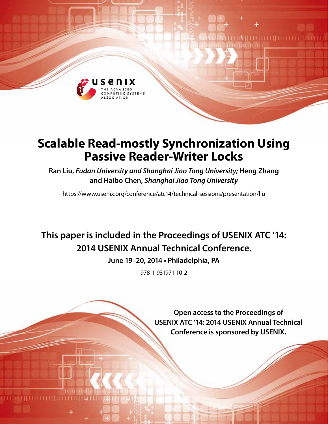

# **Scalable Read-mostly Synchronization Using Passive Reader-Writer Locks**

**Ran Liu,** *Fudan University and Shanghai Jiao Tong University;* **Heng Zhang and Haibo Chen,** *Shanghai Jiao Tong University*

https://www.usenix.org/conference/atc14/technical-sessions/presentation/liu

## **This paper is included in the Proceedings of USENIX ATC '14: 2014 USENIX Annual Technical Conference.**

**June 19–20, 2014 • Philadelphia, PA**

978-1-931971-10-2

**Open access to the Proceedings of USENIX ATC '14: 2014 USENIX Annual Technical Conference is sponsored by USENIX.**

**LA HELLIELLE LE**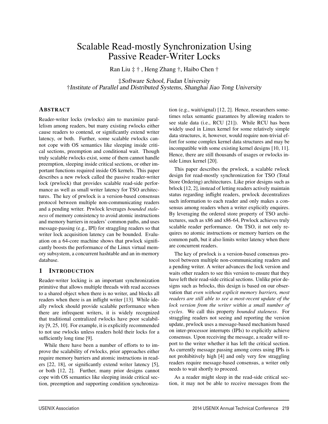## Scalable Read-mostly Synchronization Using Passive Reader-Writer Locks

Ran Liu ‡ † , Heng Zhang †, Haibo Chen †

‡Software School, Fudan University †Institute of Parallel and Distributed Systems, Shanghai Jiao Tong University

## ABSTRACT

Reader-writer locks (rwlocks) aim to maximize parallelism among readers, but many existing rwlocks either cause readers to contend, or significantly extend writer latency, or both. Further, some scalable rwlocks cannot cope with OS semantics like sleeping inside critical sections, preemption and conditional wait. Though truly scalable rwlocks exist, some of them cannot handle preemption, sleeping inside critical sections, or other important functions required inside OS kernels. This paper describes a new rwlock called the passive reader-writer lock (prwlock) that provides scalable read-side performance as well as small writer latency for TSO architectures. The key of prwlock is a version-based consensus protocol between multiple non-communicating readers and a pending writer. Prwlock leverages *bounded staleness* of memory consistency to avoid atomic instructions and memory barriers in readers' common paths, and uses message-passing (e.g., IPI) for straggling readers so that writer lock acquisition latency can be bounded. Evaluation on a 64-core machine shows that prwlock significantly boosts the performance of the Linux virtual memory subsystem, a concurrent hashtable and an in-memory database.

## 1 INTRODUCTION

Reader-writer locking is an important synchronization primitive that allows multiple threads with read accesses to a shared object when there is no writer, and blocks all readers when there is an inflight writer [13]. While ideally rwlock should provide scalable performance when there are infrequent writers, it is widely recognized that traditional centralized rwlocks have poor scalability [9, 25, 10]. For example, it is explicitly recommended to not use rwlocks unless readers hold their locks for a sufficiently long time [9].

While there have been a number of efforts to to improve the scalability of rwlocks, prior approaches either require memory barriers and atomic instructions in readers [22, 18], or significantly extend writer latency [5], or both [12, 2]. Further, many prior designs cannot cope with OS semantics like sleeping inside critical section, preemption and supporting condition synchronization (e.g., wait/signal) [12, 2]. Hence, researchers sometimes relax semantic guarantees by allowing readers to see stale data (i.e., RCU [21]). While RCU has been widely used in Linux kernel for some relatively simple data structures, it, however, would require non-trivial effort for some complex kernel data structures and may be incompatible with some existing kernel designs [10, 11]. Hence, there are still thousands of usages or rwlocks inside Linux kernel [20].

This paper describes the prwlock, a scalable rwlock design for read-mostly synchronization for TSO (Total Store Ordering) architectures. Like prior designs such as brlock [12, 2], instead of letting readers actively maintain status regarding inflight readers, prwlock decentralizes such information to each reader and only makes a consensus among readers when a writer explicitly enquires. By leveraging the ordered store property of TSO architectures, such as x86 and x86-64, Prwlock achieves truly scalable reader performance. On TSO, it not only requires no atomic instructions or memory barriers on the common path, but it also limits writer latency when there are concurrent readers.

The key of prwlock is a version-based consensus protocol between multiple non-communicating readers and a pending writer. A writer advances the lock version and waits other readers to see this version to ensure that they have left their read-side critical sections. Unlike prior designs such as brlocks, this design is based on our observation that *even without explicit memory barriers, most readers are still able to see a most-recent update of the lock version from the writer within a small number of cycles*. We call this property *bounded staleness*. For straggling readers not seeing and reporting the version update, prwlock uses a message-based mechanism based on inter-processor interrupts (IPIs) to explicitly achieve consensus. Upon receiving the message, a reader will report to the writer whether it has left the critical section. As currently message passing among cores using IPIs is not prohibitively high [4] and only very few straggling readers require message-based consensus, a writer only needs to wait shortly to proceed.

As a reader might sleep in the read-side critical section, it may not be able to receive messages from the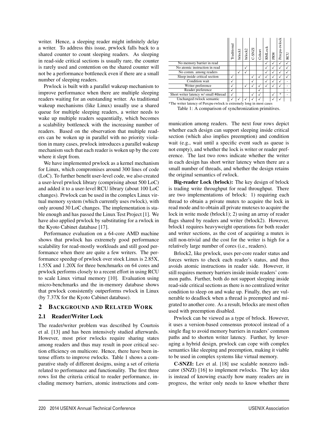writer. Hence, a sleeping reader might infinitely delay a writer. To address this issue, prwlock falls back to a shared counter to count sleeping readers. As sleeping in read-side critical sections is usually rare, the counter is rarely used and contention on the shared counter will not be a performance bottleneck even if there are a small number of sleeping readers.

Prwlock is built with a parallel wakeup mechanism to improve performance when there are multiple sleeping readers waiting for an outstanding writer. As traditional wakeup mechanisms (like Linux) usually use a shared queue for multiple sleeping readers, a writer needs to wake up multiple readers sequentially, which becomes a scalability bottleneck with the increasing number of readers. Based on the observation that multiple readers can be woken up in parallel with no priority violation in many cases, prwlock introduces a parallel wakeup mechanism such that each reader is woken up by the core where it slept from.

We have implemented prwlock as a kernel mechanism for Linux, which compromises around 300 lines of code (LoC). To further benefit user-level code, we also created a user-level prwlock library (comprising about 500 LoC) and added it to a user-level RCU library (about 100 LoC changes). Prwlock can be used in the complex Linux virtual memory system (which currently uses rwlock), with only around 30 LoC changes. The implementation is stable enough and has passed the Linux Test Project [1]. We have also applied prwlock by substituting for a rwlock in the Kyoto Cabinet database [17].

Performance evaluation on a 64-core AMD machine shows that prwlock has extremely good performance scalability for read-mostly workloads and still good performance when there are quite a few writers. The performance speedup of prwlock over stock Linux is 2.85X, 1.55X and 1.20X for three benchmarks on 64 cores and prwlock performs closely to a recent effort in using RCU to scale Linux virtual memory [10]. Evaluation using micro-benchmarks and the in-memory database shows that prwlock consistently outperforms rwlock in Linux (by 7.37X for the Kyoto Cabinet database).

## 2 BACKGROUND AND RELATED WORK

## 2.1 Reader/Writer Lock

The reader/writer problem was described by Courtois et al. [13] and has been intensively studied afterwards. However, most prior rwlocks require sharing states among readers and thus may result in poor critical section efficiency on multicore. Hence, there have been intense efforts to improve rwlocks. Table 1 shows a comparative study of different designs, using a set of criteria related to performance and functionality. The first three rows list the criteria critical to reader performance, including memory barriers, atomic instructions and com-

|                                                                      | Traditional | brlock1 | brlock2 | C-SNZ | Cohort | RMLock | PRW | Percpu-rwlock                     | RCU |
|----------------------------------------------------------------------|-------------|---------|---------|-------|--------|--------|-----|-----------------------------------|-----|
| No memory barrier in read                                            |             |         |         |       |        |        |     |                                   |     |
| No atomic instruction in read                                        |             |         | √       |       |        |        |     |                                   |     |
| No comm. among readers                                               |             |         |         |       |        |        |     |                                   |     |
| Sleep inside critical section                                        |             |         |         |       |        |        |     |                                   |     |
| Condition wait                                                       |             |         |         |       |        |        |     |                                   |     |
| Writer preference                                                    |             |         |         |       |        |        |     |                                   |     |
| Reader preference                                                    |             |         |         |       |        |        |     |                                   |     |
| Short writer latency w/ small #thread                                | √           |         |         |       |        |        |     | $\frac{d\mathbf{r}}{d\mathbf{x}}$ |     |
| Unchanged rwlock semantic                                            |             |         |         |       |        |        |     |                                   |     |
| *The writer latency of Percpu-rwlock is extremely long in most cases |             |         |         |       |        |        |     |                                   |     |

Table 1: A comparison of synchronization primitives.

munication among readers. The next four rows depict whether each design can support sleeping inside critical section (which also implies preemption) and condition wait (e.g., wait until a specific event such as queue is not empty), and whether the lock is writer or reader preference. The last two rows indicate whether the writer in each design has short writer latency when there are a small number of threads, and whether the design retains the original semantics of rwlock.

Big-reader Lock (brlock): The key design of brlock is trading write throughput for read throughput. There are two implementations of brlock: 1) requiring each thread to obtain a private mutex to acquire the lock in read mode and to obtain all private mutexes to acquire the lock in write mode (brlock1); 2) using an array of reader flags shared by readers and writer (brlock2). However, brlock1 requires heavyweight operations for both reader and writer sections, as the cost of acquiring a mutex is still non-trivial and the cost for the writer is high for a relatively large number of cores (i.e., readers).

Brlock2, like prwlock, uses per-core reader status and forces writers to check each reader's status, and thus avoids atomic instructions in reader side. However, it still requires memory barriers inside inside readers' common paths. Further, both do not support sleeping inside read-side critical sections as there is no centralized writer condition to sleep on and wake up. Finally, they are vulnerable to deadlock when a thread is preempted and migrated to another core. As a result, brlocks are most often used with preemption disabled.

Prwlock can be viewed as a type of brlock. However, it uses a version-based consensus protocol instead of a single flag to avoid memory barriers in readers' common paths and to shorten writer latency. Further, by leveraging a hybrid design, prwlock can cope with complex semantics like sleeping and preemption, making it viable to be used in complex systems like virtual memory.

C-SNZI: Lev et al. [18] use scalable nonzero indicator (SNZI) [16] to implement rwlocks. The key idea is instead of knowing exactly how many readers are in progress, the writer only needs to know whether there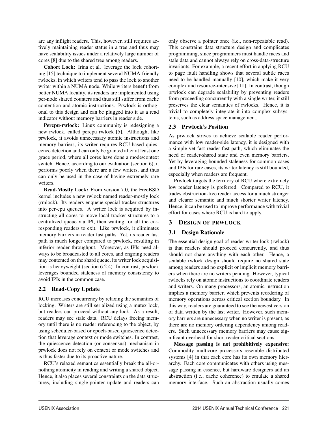are any inflight readers. This, however, still requires actively maintaining reader status in a tree and thus may have scalability issues under a relatively large number of cores [8] due to the shared tree among readers.

Cohort Lock: Irina et al. leverage the lock cohorting [15] technique to implement several NUMA-friendly rwlocks, in which writers tend to pass the lock to another writer within a NUMA node. While writers benefit from better NUMA locality, its readers are implemented using per-node shared counters and thus still suffer from cache contention and atomic instructions. Prwlock is orthogonal to this design and can be plugged into it as a read indicator without memory barriers in reader side.

Percpu-rwlock: Linux community is redesigning a new rwlock, called percpu rwlock [5]. Although, like prwlock, it avoids unnecessary atomic instructions and memory barriers, its writer requires RCU-based quiescence detection and can only be granted after at least one grace period, where all cores have done a mode/context switch. Hence, according to our evaluation (section 6), it performs poorly when there are a few writers, and thus can only be used in the case of having extremely rare writers.

Read-Mostly Lock: From version 7.0, the FreeBSD kernel includes a new rwlock named reader-mostly lock (rmlock). Its readers enqueue special tracker structures into per-cpu queues. A writer lock is acquired by instructing all cores to move local tracker structures to a centralized queue via IPI, then waiting for all the corresponding readers to exit. Like prwlock, it eliminates memory barriers in reader fast paths. Yet, its reader fast path is much longer compared to prwlock, resulting in inferior reader throughput. Moreover, as IPIs need always to be broadcasted to all cores, and ongoing readers may contented on the shard queue, its writer lock acquisition is heavyweight (section 6.2.4). In contrast, prwlock leverages bounded staleness of memory consistency to avoid IPIs in the common case.

## 2.2 Read-Copy Update

RCU increases concurrency by relaxing the semantics of locking. Writers are still serialized using a mutex lock, but readers can proceed without any lock. As a result, readers may see stale data. RCU delays freeing memory until there is no reader referencing to the object, by using scheduler-based or epoch-based quiescence detection that leverage context or mode switches. In contrast, the quiescence detection (or consensus) mechanism in prwlock does not rely on context or mode switches and is thus faster due to its proactive nature.

RCU's relaxed semantics essentially break the all-ornothing atomicity in reading and writing a shared object. Hence, it also places several constraints on the data structures, including single-pointer update and readers can only observe a pointer once (i.e., non-repeatable read). This constrains data structure design and complicates programming, since programmers must handle races and stale data and cannot always rely on cross-data-structure invariants. For example, a recent effort in applying RCU to page fault handling shows that several subtle races need to be handled manually [10], which make it very complex and resource-intensive [11]. In contrast, though prwlock can degrade scalability by preventing readers from proceeding concurrently with a single writer, it still preserves the clear semantics of rwlocks. Hence, it is trivial to completely integrate it into complex subsystems, such as address space management.

## 2.3 Prwlock's Position

As prwlock strives to achieve scalable reader performance with low reader-side latency, it is designed with a simple yet fast reader fast path, which eliminates the need of reader-shared state and even memory barriers. Yet by leveraging bounded staleness for common cases and IPIs for rare cases, its writer latency is still bounded, especially when readers are frequent.

Prwlock targets the territory of RCU where extremely low reader latency is preferred. Compared to RCU, it trades obstruction-free reader access for a much stronger and clearer semantic and much shorter writer latency. Hence, it can be used to improve performance with trivial effort for cases where RCU is hard to apply.

## 3 DESIGN OF PRWLOCK

## 3.1 Design Rationale

The essential design goal of reader-writer lock (rwlock) is that readers should proceed concurrently, and thus should not share anything with each other. Hence, a scalable rwlock design should require no shared state among readers and no explicit or implicit memory barriers when there are no writers pending. However, typical rwlocks rely on atomic instructions to coordinate readers and writers. On many processors, an atomic instruction implies a memory barrier, which prevents reordering of memory operations across critical section boundary. In this way, readers are guaranteed to see the newest version of data written by the last writer. However, such memory barriers are unnecessary when no writer is present, as there are no memory ordering dependency among readers. Such unnecessary memory barriers may cause significant overhead for short reader critical sections.

Message passing is not prohibitively expensive: Commodity multicore processors resemble distributed systems [4] in that each core has its own memory hierarchy. Each core communicates with others using message passing in essence, but hardware designers add an abstraction (i.e., cache coherence) to emulate a shared memory interface. Such an abstraction usually comes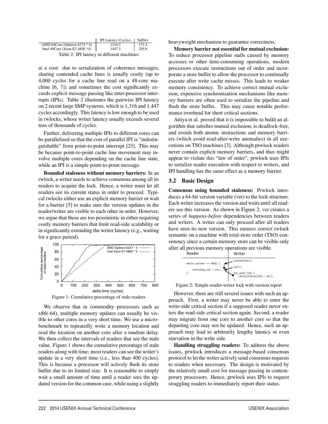|                                            | <b>IPI Latency (Cycles)</b> | StdDev |  |  |  |
|--------------------------------------------|-----------------------------|--------|--|--|--|
| AMD 64Core (Opteron 6274 $*$ 4)            | 1316.3                      | 171.4  |  |  |  |
| Intel 40Core (Xeon E7-4850 $*4$ )          | 1447.3                      | 205.8  |  |  |  |
| Table 2: IPI latency in different machines |                             |        |  |  |  |

at a cost: due to serialization of coherence messages, sharing contended cache lines is usually costly (up to 4,000 cycles for a cache line read on a 48-core machine [6, 7]) and sometimes the cost significantly exceeds explicit message passing like inter-processor interrupts (IPIs). Table 2 illustrates the pairwise IPI latency on 2 recent large SMP systems, which is 1,316 and 1,447 cycles accordingly. This latency is low enough to be used in rwlocks, whose writer latency usually exceeds several tens of thousands of cycles.

Further, delivering multiple IPIs to different cores can be parallelized so that the cost of parallel IPI is "indistinguishable" from point-to-point interrupt [23]. This may be because point-to-point cache line movement may involve multiple cores depending on the cache line state, while an IPI is a simple point-to-point message.

Bounded staleness without memory barriers: In an rwlock, a writer needs to achieve consensus among all its readers to acquire the lock. Hence, a writer must let all readers see its current status in order to proceed. Typical rwlocks either use an explicit memory barrier or wait for a barrier [5] to make sure the version updates in the reader/writer are visible to each other in order. However, we argue that these are too pessimistic in either requiring costly memory barriers that limit read-side scalability or in significantly extending the writer latency (e.g., waiting for a grace period).



We observe that in commodity processors such as x86(-64), multiple memory updates can usually be visible to other cores in a very short time. We use a microbenchmark to repeatedly write a memory location and read the location on another core after a random delay. We then collect the intervals of readers that see the stale value. Figure 1 shows the cumulative percentage of stale readers along with time; most readers can see the writer's update in a very short time (i.e., less than 400 cycles). This is because a processor will actively flush its store buffer due to its limited size. It is reasonable to simply wait a small amount of time until a reader sees the updated version for the common case, while using a slightly heavyweight mechanism to guarantee correctness.

Memory barrier not essential for mutual exclusion: To reduce processor pipeline stalls caused by memory accesses or other time-consuming operations, modern processors execute instructions out of order and incorporate a store buffer to allow the processor to continually execute after write cache misses. This leads to weaker memory consistency. To achieve correct mutual exclusion, expensive synchronization mechanisms like memory barriers are often used to serialize the pipeline and flush the store buffer.. This may cause notable performance overhead for short critical sections.

Attiya et al. proved that it is impossible to build an algorithm that satisfies mutual exclusion, is deadlock-free, and avoids both atomic instructions and memory barriers (which avoid read-after-write anomalies) in all executions on TSO machines [3]. Although prwlock readers never contain explicit memory barriers, and thus might appear to violate this "law of order", prwlock uses IPIs to serialize reader execution with respect to writers, and IPI handling has the same effect as a memory barrier.

#### 3.2 Basic Design

Consensus using bounded staleness: Prwlock introduces a 64-bit version variable (ver) to the lock structure. Each writer increases the version and waits until all readers see this version. As shown in Figure 2, ver creates a series of *happens-before* dependencies between readers and writers. A writer can only proceed after all readers have seen its new version. This ensures correct rwlock semantic on a machine with total-store order (TSO) consistency since a certain memory store can be visible only after all previous memory operations are visible.



Figure 2: Simple reader-writer lock with version report

However, there are still several issues with such an approach. First, a writer may never be able to enter the write-side critical section if a supposed reader never enters the read-side critical section again. Second, a reader may migrate from one core to another core so that the departing core may not be updated. Hence, such an approach may lead to arbitrarily lengthy latency or even starvation in the write side.

Handling straggling readers: To address the above issues, prwlock introduces a message-based consensus protocol to let the writer actively send consensus requests to readers when necessary. The design is motivated by the relatively small cost for message passing in contemporary processors. Hence, prwlock uses IPIs to request straggling readers to immediately report their status.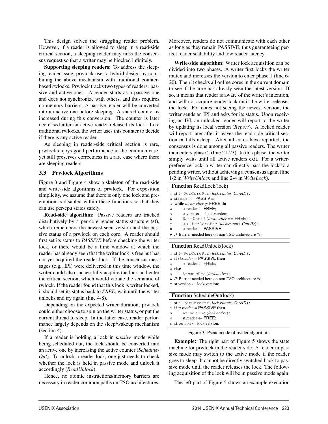This design solves the straggling reader problem. However, if a reader is allowed to sleep in a read-side critical section, a sleeping reader may miss the consensus request so that a writer may be blocked infinitely.

Supporting sleeping readers: To address the sleeping reader issue, prwlock uses a hybrid design by combining the above mechanism with traditional counterbased rwlocks. Prwlock tracks two types of readers: passive and active ones. A reader starts as a passive one and does not synchronize with others, and thus requires no memory barriers. A passive reader will be converted into an active one before sleeping. A shared counter is increased during this conversion. The counter is later decreased after an active reader released its lock. Like traditional rwlocks, the writer uses this counter to decide if there is any active reader.

As sleeping in reader-side critical section is rare, prwlock enjoys good performance in the common case, yet still preserves correctness in a rare case where there are sleeping readers.

## 3.3 Prwlock Algorithms

Figure 3 and Figure 4 show a skeleton of the read-side and write-side algorithms of prwlock. For exposition simplicity, we assume that there is only one lock and preemption is disabled within these functions so that they can use per-cpu states safely.

Read-side algorithm: Passive readers are tracked distributively by a per-core reader status structure (st), which remembers the newest seen version and the passive status of a prwlock on each core. A reader should first set its status to *PASSIVE* before checking the writer lock, or there would be a time window at which the reader has already seen that the writer lock is free but has not yet acquired the reader lock. If the consensus messages (e.g., IPI) were delivered in this time window, the writer could also successfully acquire the lock and enter the critical section, which would violate the semantic of rwlock. If the reader found that this lock is writer locked, it should set its status back to *FREE*, wait until the writer unlocks and try again (line 4-8).

Depending on the expected writer duration, prwlock could either choose to spin on the writer status, or put the current thread to sleep. In the latter case, reader performance largely depends on the sleep/wakeup mechanism (section 4).

If a reader is holding a lock in *passive* mode while being scheduled out, the lock should be converted into an active one by increasing the active counter (*Schedule-Out*). To unlock a reader lock, one just needs to check whether the lock is held in passive mode and unlock it accordingly (*ReadUnlock*).

Hence, no atomic instructions/memory barriers are necessary in reader common paths on TSO architectures.

Moreover, readers do not communicate with each other as long as they remain PASSIVE, thus guaranteeing perfect reader scalability and low reader latency.

Write-side algorithm: Writer lock acquisition can be divided into two phases. A writer first locks the writer mutex and increases the version to enter phase 1 (line 6- 20). Then it checks all online cores in the current domain to see if the core has already seen the latest version. If so, it means that reader is aware of the writer's intention, and will not acquire reader lock until the writer releases the lock. For cores not seeing the newest version, the writer sends an IPI and asks for its status. Upon receiving an IPI, an unlocked reader will report to the writer by updating its local version (*Report*). A locked reader will report later after it leaves the read-side critical section or falls asleep. After all cores have reported, the consensus is done among all passive readers. The writer then enters phase 2 (line 21-23). In this phase, the writer simply waits until all active readers exit. For a writerpreference lock, a writer can directly pass the lock to a pending writer, without achieving a consensus again (line 1-2 in *WriteUnlock* and line 2-4 in *WriteLock*).

#### Function ReadLock(lock)

| 1 st $\leftarrow$ PerCorePtr (lock.rstatus, CoreID);        |
|-------------------------------------------------------------|
| 2 st.reader $\leftarrow$ PASSIVE:                           |
| 3 while <i>lock</i> writer $\neq$ FREE do                   |
| 4   st.reader $\leftarrow$ FREE;                            |
| st.version $\leftarrow$ lock.version;                       |
| WaitUntil $(lock.write = = \text{FREE})$ ;                  |
| $st \leftarrow$ PerCorePtr ( <i>lock.rstatus, CoreID</i> ); |
|                                                             |

- $\text{st}$ .reader ← PASSIVE;
- <sup>9</sup> /\* Barrier needed here on non-TSO architecture \*/;

#### Function ReadUnlock(lock)

|                                   | 1 st $\leftarrow$ PerCorePtr (lock.rstatus, CoreID);                |  |  |  |  |
|-----------------------------------|---------------------------------------------------------------------|--|--|--|--|
|                                   | 2 if st. reader $=$ PASSIVE then                                    |  |  |  |  |
|                                   | $\text{3}$ st.reader $\leftarrow$ FREE;                             |  |  |  |  |
|                                   | 4 else                                                              |  |  |  |  |
|                                   | AtomicDec(lock.active);<br>$5 \mid$                                 |  |  |  |  |
|                                   | 6 /* Barrier needed here on non-TSO architecture */;                |  |  |  |  |
|                                   | 7 st. version $\leftarrow$ lock version;                            |  |  |  |  |
|                                   |                                                                     |  |  |  |  |
| <b>Function</b> ScheduleOut(lock) |                                                                     |  |  |  |  |
|                                   | $1 \text{ st} \leftarrow \text{PerCorePtr}(lock.rstatus, CoreID)$ ; |  |  |  |  |
|                                   | 2 if st. reader $=$ PASSIVE then                                    |  |  |  |  |

- <sup>3</sup> AtomicInc(*lock.active*);
- 4 st.reader  $\leftarrow$  FREE;
- <sup>5</sup> st.version ← lock.version;

#### Figure 3: Pseudocode of reader algorithms

Example: The right part of Figure 5 shows the state machine for prwlock in the reader side. A reader in passive mode may switch to the active mode if the reader goes to sleep. It cannot be directly switched back to passive mode until the reader releases the lock. The following acquisition of the lock will be in passive mode again.

The left part of Figure 5 shows an example execution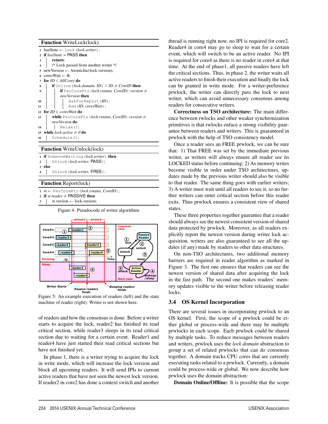|                         |  | 1 lastState $\leftarrow$ Lock (lock.writer);                                                |
|-------------------------|--|---------------------------------------------------------------------------------------------|
| $\mathbf{2}$            |  | if <i>lastState</i> = $\text{PASS}$ then                                                    |
| 3                       |  | return;                                                                                     |
| $\overline{\mathbf{4}}$ |  | /* Lock passed from another writer */                                                       |
| 5                       |  | $newVersion \leftarrow AtomicInc(locck.version);$                                           |
|                         |  | 6 cores Wait $\leftarrow \emptyset$ :                                                       |
| 7                       |  | for $ID \in AllCores$ do                                                                    |
| 8                       |  | <b>if</b> Online ( <i>lock.domain, ID</i> ) $\land$ <i>ID <math>\neq</math> CoreID</i> then |
| 9                       |  | <b>if</b> PerCorePtr ( <i>lock.rstatus, CoreID</i> ).version $\neq$                         |
|                         |  | newVersion <b>then</b>                                                                      |
| 10                      |  | AskForReport(ID);                                                                           |
| 11                      |  | Add (ID, cores Wait);                                                                       |
| 12                      |  | for $ID \in coresWait$ do                                                                   |
| 13                      |  | <b>while</b> PerCorePtr ( <i>lock.rstatus, CoreID</i> ).version $\neq$                      |
|                         |  | newVersion do                                                                               |
| 14                      |  | $Relax()$ ;                                                                                 |
| 15                      |  | while <i>lock.active</i> $\neq$ 0 do                                                        |
| 16                      |  | Schedule();                                                                                 |
|                         |  |                                                                                             |
|                         |  | TTT *: TT 1 1 /1<br>$\blacksquare$                                                          |

#### Function WriteUnlock(lock)

| 1 if SomeoneWaiting (lock.writer) then |
|----------------------------------------|
| 2 Unlock (lock.writer, PASS);          |
| 3 else                                 |
| 4 Unlock (lock.writer, FREE);          |
|                                        |
|                                        |

## Function Report(lock)

| 1 st $\leftarrow$ PerCorePtr (lock.rstatus, CoreID); |  |
|------------------------------------------------------|--|
|------------------------------------------------------|--|

- 2 if *st.reader*  $\neq$  PASSIVE then
- st.version ← lock.version;

Figure 4: Pseudocode of writer algorithms



Figure 5: An example execution of readers (left) and the state machine of reader (right). Writer is not shown here.

of readers and how the consensus is done. Before a writer starts to acquire the lock, reader2 has finished its read critical section, while reader3 sleeps in its read critical section due to waiting for a certain event. Reader1 and reader4 have just started their read critical sections but have not finished yet.

In phase 1, there is a writer trying to acquire the lock in write mode, which will increase the lock version and block all upcoming readers. It will send IPIs to current active readers that have not seen the newest lock version. If reader2 in core2 has done a context switch and another thread is running right now, no IPI is required for core2. Reader4 in core4 may go to sleep to wait for a certain event, which will switch to be an active reader. No IPI is required for core4 as there is no reader in core4 at that time. At the end of phase1, all passive readers have left the critical sections. Thus, in phase 2, the writer waits all active readers to finish their execution and finally the lock can be granted in write mode. For a writer-preference prwlock, the writer can directly pass the lock to next writer, which can avoid unnecessary consensus among readers for consecutive writers.

Correctness on TSO architecture: The main difference between rwlocks and other weaker synchronization primitives is that rwlocks enface a strong visibility guarantee between readers and writers. This is guaranteed in prwlock with the help of TSO consistency model.

Once a reader sees an FREE prwlock, we can be sure that: 1) That FREE was set by the immediate previous writer, as writers will always ensure all reader see its LOCKED status before continuing; 2) As memory writes become visible in order under TSO architectures, updates made by the previous writer should also be visible to that reader. The same thing goes with earlier writers; 3) A writer must wait until all readers to see it, so no further writers can enter critical section before this reader exits. Thus prwlock ensures a consistent view of shared states.

These three properties together guarantee that a reader should always see the newest consistent version of shared data protected by prwlock. Moreover, as all readers explicitly report the newest version during writer lock acquisition, writers are also guaranteed to see all the updates (if any) made by readers to other data structures.

On non-TSO architectures, two additional memory barriers are required in reader algorithm as marked in Figure 3. The first one ensures that readers can see the newest version of shared data after acquiring the lock in the fast path. The second one makes readers' memory updates visible to the writer before releasing reader locks.

#### 3.4 OS Kernel Incorporation

There are several issues in incorporating prwlock to an OS kernel. First, the scope of a prwlock could be either global or process-wide and there may be multiple prwlocks in each scope. Each prwlock could be shared by multiple tasks. To reduce messages between readers and writers, prwlock uses the *lock domain* abstraction to group a set of related prwlocks that can do consensus together. A domain tracks CPU cores that are currently executing tasks related to a prwlock. Currently, a domain could be process-wide or global. We now describe how prwlock uses the domain abstraction:

Domain Online/Offline: It is possible that the scope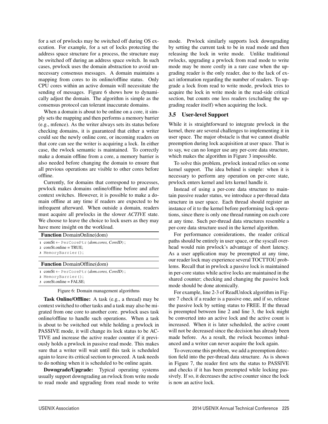for a set of prwlocks may be switched off during OS execution. For example, for a set of locks protecting the address space structure for a process, the structure may be switched off during an address space switch. In such cases, prwlock uses the domain abstraction to avoid unnecessary consensus messages. A domain maintains a mapping from cores to its online/offline status. Only CPU cores within an active domain will necessitate the sending of messages. Figure 6 shows how to dynamically adjust the domain. The algorithm is simple as the consensus protocol can tolerant inaccurate domains.

When a domain is about to be online on a core, it simply sets the mapping and then performs a memory barrier (e.g., mfence). As the writer always sets its status before checking domains, it is guaranteed that either a writer could see the newly online core, or incoming readers on that core can see the writer is acquiring a lock. In either case, the rwlock semantic is maintained. To correctly make a domain offline from a core, a memory barrier is also needed before changing the domain to ensure that all previous operations are visible to other cores before offline.

Currently, for domains that correspond to processes, prwlock makes domains online/offline before and after context switches. However, it is possible to make a domain offline at any time if readers are expected to be infrequent afterward. When outside a domain, readers must acquire all prwlocks in the slower *ACTIVE* state. We choose to leave the choice to lock users as they may have more insight on the workload.

| have more margin on the workload.                                                                                           |  |  |
|-----------------------------------------------------------------------------------------------------------------------------|--|--|
| <b>Function</b> DomainOnline(dom)                                                                                           |  |  |
| 1 coreSt $\leftarrow$ PerCorePtr ( <i>dom.cores, CoreID</i> );<br>$2 \text{ coreSt.}$ online = TRUE;<br>3 MemoryBarrier();  |  |  |
| <b>Function</b> DomainOffline(dom)                                                                                          |  |  |
| 1 coreSt $\leftarrow$ PerCorePtr ( <i>dom.cores, CoreID</i> );<br>2 MemoryBarrier();<br>$3 \text{ coreSt.}$ online = FALSE; |  |  |

Figure 6: Domain management algorithms

Task Online/Offline: A task (e.g., a thread) may be context switched to other tasks and a task may also be migrated from one core to another core. prwlock uses task online/offline to handle such operations. When a task is about to be switched out while holding a prwlock in PASSIVE mode, it will change its lock status to be AC-TIVE and increase the active reader counter if it previously holds a prwlock in passive read mode. This makes sure that a writer will wait until this task is scheduled again to leave its critical section to proceed. A task needs to do nothing when it is scheduled to be online again.

Downgrade/Upgrade: Typical operating systems usually support downgrading an rwlock from write mode to read mode and upgrading from read mode to write mode. Prwlock similarly supports lock downgrading by setting the current task to be in read mode and then releasing the lock in write mode. Unlike traditional rwlocks, upgrading a prwlock from read mode to write mode may be more costly in a rare case when the upgrading reader is the only reader, due to the lack of exact information regarding the number of readers. To upgrade a lock from read to write mode, prwlock tries to acquire the lock in write mode in the read-side critical section, but counts one less readers (excluding the upgrading reader itself) when acquiring the lock.

## 3.5 User-level Support

While it is straightforward to integrate prwlock in the kernel, there are several challenges to implementing it in user space. The major obstacle is that we cannot disable preemption during lock acquisition at user space. That is to say, we can no longer use any per-core data structure, which makes the algorithm in Figure 3 impossible.

To solve this problem, prwlock instead relies on some kernel support. The idea behind is simple: when it is necessary to perform any operation on per-core state, prwlock enters kernel and lets kernel handle it.

Instead of using a per-core data structure to maintain passive reader status, we introduce a per-thread data structure in user space. Each thread should register an instance of it to the kernel before performing lock operations, since there is only one thread running on each core at any time. Such per-thread data structures resemble a per-core data structure used in the kernel algorithm.

For performance considerations, the reader critical as should be entirely in user space, or the syscall overd would ruin prwlock's advantage of short latency. a user application may be preempted at any time, reader lock may experience several TOCTTOU probs. Recall that in prwlock a passive lock is maintained er-core status while active locks are maintained in the red counter; checking and changing the passive lock mode should be done atomically.

For example, line 2-3 of ReadUnlock algorithm in Figure 7 check if a reader is a passive one, and if so, release the passive lock by setting status to FREE. If the thread is preempted between line 2 and line 3, the lock might be converted into an active lock and the active count is increased. When it is later scheduled, the active count will not be decreased since the decision has already been made before. As a result, the rwlock becomes imbalanced and a writer can never acquire the lock again.

To overcome this problem, we add a preemption detection field into the per-thread data structure. As is shown in Figure 7, the reader first sets the status to PASSIVE and checks if it has been preempted while locking passively. If so, it decreases the active counter since the lock is now an active lock.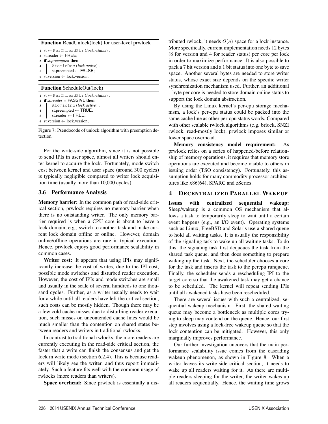| <b>Function</b> ReadUnlock(lock) for user-level prwlock |                                                                                                                                   |  |  |  |  |
|---------------------------------------------------------|-----------------------------------------------------------------------------------------------------------------------------------|--|--|--|--|
|                                                         | $1$ st $\leftarrow$ PerThreadPtr ( <i>lock.rstatus</i> );                                                                         |  |  |  |  |
|                                                         | 2 st.reader $\leftarrow$ FREE;                                                                                                    |  |  |  |  |
|                                                         | <b>if</b> st.preempted <b>then</b>                                                                                                |  |  |  |  |
| $\overline{\mathbf{4}}$                                 | AtomicDec(lock.active);                                                                                                           |  |  |  |  |
| 5                                                       | st.preempted $\leftarrow$ FALSE;                                                                                                  |  |  |  |  |
|                                                         | st.version $\leftarrow$ lock.version;                                                                                             |  |  |  |  |
|                                                         |                                                                                                                                   |  |  |  |  |
|                                                         |                                                                                                                                   |  |  |  |  |
|                                                         | <b>Function</b> ScheduleOut(lock)<br>$1$ st $\leftarrow$ PerThreadPtr ( <i>lock.rstatus</i> );<br>2 if st reader = $PASSIVE$ then |  |  |  |  |
| 3                                                       | AtomicInc(lock.active);                                                                                                           |  |  |  |  |
| 4                                                       | st.preempted $\leftarrow$ TRUE;                                                                                                   |  |  |  |  |
| 5                                                       | st.reader $\leftarrow$ FREE;                                                                                                      |  |  |  |  |

6 st.version  $\leftarrow$  lock.version:

Figure 7: Pseudocode of unlock algorithm with preemption detection

For the write-side algorithm, since it is not possible to send IPIs in user space, almost all writers should enter kernel to acquire the lock. Fortunately, mode switch cost between kernel and user space (around 300 cycles) is typically negligible compared to writer lock acquisition time (usually more than 10,000 cycles).

#### 3.6 Performance Analysis

Memory barrier: In the common path of read-side critical section, prwlock requires no memory barrier when there is no outstanding writer. The only memory barrier required is when a CPU core is about to leave a lock domain, e.g., switch to another task and make current lock domain offline or online. However, domain online/offline operations are rare in typical execution. Hence, prwlock enjoys good performance scalability in common cases.

Writer cost: It appears that using IPIs may significantly increase the cost of writes, due to the IPI cost, possible mode switches and disturbed reader execution. However, the cost of IPIs and mode switches are small and usually in the scale of several hundreds to one thousand cycles. Further, as a writer usually needs to wait for a while until all readers have left the critical section, such costs can be mostly hidden. Though there may be a few cold cache misses due to disturbing reader execution, such misses on uncontended cache lines would be much smaller than the contention on shared states between readers and writers in traditional rwlocks.

In contrast to traditional rwlocks, the more readers are currently executing in the read-side critical section, the faster that a write can finish the consensus and get the lock in write mode (section 6.2.4). This is because readers will likely see the writer, and thus report immediately. Such a feature fits well with the common usage of rwlocks (more readers than writers).

Space overhead: Since prwlock is essentially a dis-

tributed rwlock, it needs  $O(n)$  space for a lock instance. More specifically, current implementation needs 12 bytes (8 for version and 4 for reader status) per core per lock in order to maximize performance. It is also possible to pack a 7 bit version and a 1 bit status into one byte to save space. Another several bytes are needed to store writer status, whose exact size depends on the specific writer synchronization mechanism used. Further, an additional 1 byte per core is needed to store domain online status to support the lock domain abstraction.

By using the Linux kernel's per-cpu storage mechanism, a lock's per-cpu status could be packed into the same cache line as other per-cpu status words. Compared with other scalable rwlock algorithms (e.g. brlock, SNZI rwlock, read-mostly lock), prwlock imposes similar or lower space overhead.

Memory consistency model requirement: As prwlock relies on a series of happened-before relationship of memory operations, it requires that memory store operations are executed and become visible to others in issuing order (TSO consistency). Fortunately, this assumption holds for many commodity processor architectures like x86(64), SPARC and zSeries.

## 4 DECENTRALIZED PARALLEL WAKEUP

Issues with centralized sequential wakeup: Sleep/wakeup is a common OS mechanism that allows a task to temporarily sleep to wait until a certain event happens (e.g., an I/O event). Operating systems such as Linux, FreeBSD and Solaris use a shared queue to hold all waiting tasks. It is usually the responsibility of the signaling task to wake up all waiting tasks. To do this, the signaling task first dequeues the task from the shared task queue, and then does something to prepare waking up the task. Next, the scheduler chooses a core for the task and inserts the task to the percpu runqueue. Finally, the scheduler sends a rescheduling IPI to the target core so that the awakened task may get a chance to be scheduled. The kernel will repeat sending IPIs until all awakened tasks have been rescheduled.

There are several issues with such a centralized, sequential wakeup mechanism. First, the shared waiting queue may become a bottleneck as multiple cores trying to sleep may contend on the queue. Hence, our first step involves using a lock-free wakeup queue so that the lock contention can be mitigated. However, this only marginally improves performance.

Our further investigation uncovers that the main performance scalability issue comes from the cascading wakeup phenomenon, as shown in Figure 8. When a writer leaves its write-side critical section, it needs to wake up all readers waiting for it. As there are multiple readers sleeping for the writer, the writer wakes up all readers sequentially. Hence, the waiting time grows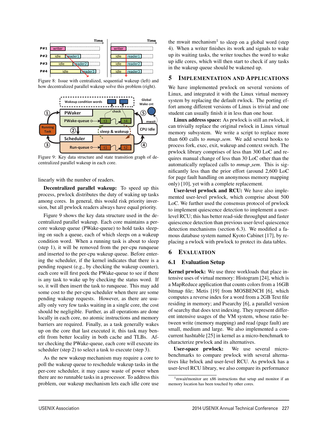

Figure 8: Issue with centralized, sequential wakeup (left) and how decentralized parallel wakeup solve this problem (right).



Figure 9: Key data structure and state transition graph of decentralized parallel wakeup in each core.

linearly with the number of readers.

Decentralized parallel wakeup: To speed up this process, prwlock distributes the duty of waking up tasks among cores. In general, this would risk priority inversion, but all prwlock readers always have equal priority.

Figure 9 shows the key data structure used in the decentralized parallel wakeup. Each core maintains a percore wakeup queue (PWake-queue) to hold tasks sleeping on such a queue, each of which sleeps on a wakeup condition word. When a running task is about to sleep (step 1), it will be removed from the per-cpu runqueue and inserted to the per-cpu wakeup queue. Before entering the scheduler, if the kernel indicates that there is a pending request (e.g., by checking the wakeup counter), each core will first peek the PWake-queue to see if there is any task to wake up by checking the status word. If so, it will then insert the task to runqueue. This may add some cost to the per-cpu scheduler when there are some pending wakeup requests. However, as there are usually only very few tasks waiting in a single core, the cost should be negligible. Further, as all operations are done locally in each core, no atomic instructions and memory barriers are required. Finally, as a task generally wakes up on the core that last executed it, this task may benefit from better locality in both cache and TLBs. After checking the PWake-queue, each core will execute its scheduler (step 2) to select a task to execute (step 3).

As the new wakeup mechanism may require a core to poll the wakeup queue to reschedule wakeup tasks in the per-core scheduler, it may cause waste of power when there are no runnable tasks in a processor. To address this problem, our wakeup mechanism lets each idle core use the mwait mechanism<sup>1</sup> to sleep on a global word (step 4). When a writer finishes its work and signals to wake up its waiting tasks, the writer touches the word to wake up idle cores, which will then start to check if any tasks in the wakeup queue should be wakened up.

## 5 IMPLEMENTATION AND APPLICATIONS

We have implemented prwlock on several versions of Linux, and integrated it with the Linux virtual memory system by replacing the default rwlock. The porting effort among different versions of Linux is trivial and one student can usually finish it in less than one hour.

Linux address space: As prwlock is still an rwlock, it can trivially replace the original rwlock in Linux virtual memory subsystem. We write a script to replace more than 600 calls to *mmap sem*. We add several hooks to process fork, exec, exit, wakeup and context switch. The prwlock library comprises of less than 300 LoC and requires manual change of less than 30 LoC other than the automatically replaced calls to *mmap sem*. This is significantly less than the prior effort (around 2,600 LoC for page fault handling on anonymous memory mapping only) [10], yet with a complete replacement.

User-level prwlock and RCU: We have also implemented user-level prwlock, which comprise about 500 LoC. We further used the consensus protocol of prwlock to implement quiescence detection to implement a userlevel RCU; this has better read-side throughput and faster quiescence detection than previous user-level quiescence detection mechanisms (section 6.3). We modified a famous database system named Kyoto Cabinet [17], by replacing a rwlock with prwlock to protect its data tables.

#### 6 EVALUATION

#### 6.1 Evaluation Setup

Kernel prwlock: We use three workloads that place intensive uses of virtual memory: Histogram [24], which is a MapReduce application that counts colors from a 16GB bitmap file; Metis [19] from MOSBENCH [6], which computes a reverse index for a word from a 2GB Text file residing in memory; and Psearchy [6], a parallel version of searchy that does text indexing. They represent different intensive usages of the VM system, whose ratio between write (memory mapping) and read (page fault) are small, medium and large. We also implemented a concurrent hashtable [25] in kernel as a micro-benchmark to characterize prwlock and its alternatives.

User-space prwlock: We use several microbenchmarks to compare prwlock with several alternatives like brlock and user-level RCU. As prwlock has a user-level RCU library, we also compare its performance

<sup>&</sup>lt;sup>1</sup>mwait/monitor are x86 instructions that setup and monitor if an memory location has been touched by other cores.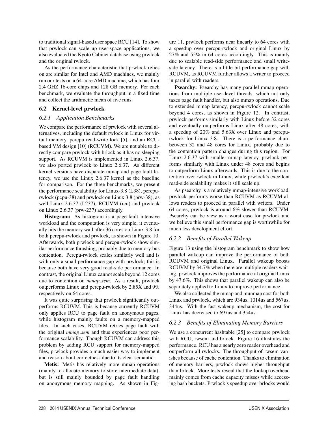to traditional signal-based user space RCU [14]. To show that prwlock can scale up user-space applications, we also evaluated the Kyoto Cabinet database using prwlock and the original rwlock.

As the performance characteristic that prwlock relies on are similar for Intel and AMD machines, we mainly run our tests on a 64-core AMD machine, which has four 2.4 GHZ 16-core chips and 128 GB memory. For each benchmark, we evaluate the throughput in a fixed time and collect the arithmetic mean of five runs.

## 6.2 Kernel-level prwlock

## *6.2.1 Application Benchmarks*

We compare the performance of prwlock with several alternatives, including the default rwlock in Linux for virtual memory, percpu read-write lock [5], and an RCUbased VM design [10] (RCUVM). We are not able to directly compare prwlock with brlock as it has no sleeping support. As RCUVM is implemented in Linux 2.6.37, we also ported prwlock to Linux 2.6.37. As different kernel versions have disparate mmap and page fault latency, we use the Linux 2.6.37 kernel as the baseline for comparison. For the three benchmarks, we present the performance scalability for Linux-3.8 (L38), percpurwlock (pcpu-38) and prwlock on Linux 3.8 (prw-38), as well Linux 2.6.37 (L237), RCUVM (rcu) and prwlock on Linux 2.6.37 (prw-237) accordingly.

Histogram: As histogram is a page-fault intensive workload and the computation is very simple, it eventually hits the memory wall after 36 cores on Linux 3.8 for both percpu-rwlock and prwlock, as shown in Figure 10. Afterwards, both prwlock and percpu-rwlock show similar performance thrashing, probably due to memory bus contention. Percpu-rwlock scales similarly well and is with only a small performance gap with prwlock; this is because both have very good read-side performance. In contrast, the original Linux cannot scale beyond 12 cores due to contention on *mmap sem*. As a result, prwlock outperforms Linux and percpu-rwlock by 2.85X and 9% respectively on 64 cores.

It was quite surprising that prwlock significantly outperforms RCUVM. This is because currently RCUVM only applies RCU to page fault on anonymous pages, while histogram mainly faults on a memory-mapped files. In such cases, RCUVM retries page fault with the original *mmap sem* and thus experiences poor performance scalability. Though RCUVM can address this problem by adding RCU support for memory-mapped files, prwlock provides a much easier way to implement and reason about correctness due to its clear semantic.

Metis: Metis has relatively more mmap operations (mainly to allocate memory to store intermediate data), but is still mainly bounded by page fault handling on anonymous memory mapping. As shown in Figure 11, prwlock performs near linearly to 64 cores with a speedup over percpu-rwlock and original Linux by 27% and 55% in 64 cores accordingly. This is mainly due to scalable read-side performance and small writeside latency. There is a little bit performance gap with RCUVM, as RCUVM further allows a writer to proceed in parallel with readers.

Psearchy: Psearchy has many parallel mmap operations from multiple user-level threads, which not only taxes page fault handler, but also mmap operations. Due to extended mmap latency, percpu-rwlock cannot scale beyond 4 cores, as shown in Figure 12. In contrast, prwlock performs similarly with Linux before 32 cores and eventually outperforms Linux after 48 cores, with a speedup of 20% and 5.63X over Linux and percpurwlock for Linux 3.8. There is a performance churn between 32 and 48 cores for Linux, probably due to the contention pattern changes during this region. For Linux 2.6.37 with smaller mmap latency, prwlock performs similarly with Linux under 48 cores and begins to outperform Linux afterwards. This is due to the contention over rwlock in Linux, while prwlock's excellent read-side scalability makes it still scale up.

As psearchy is a relatively mmap-intensive workload, prwlock performs worse than RCUVM as RCUVM allows readers to proceed in parallel with writers. Under 64 cores, prwlock is around 6% slower than RCUVM. Psearchy can be view as a worst case for prwlock and we believe this small performance gap is worthwhile for much less development effort.

## *6.2.2 Benefits of Parallel Wakeup*

Figure 13 using the histogram benchmark to show how parallel wakeup can improve the performance of both RCUVM and original Linux. Parallel wakeup boosts RCUVM by 34.7% when there are multiple readers waiting. prwlock improves the performance of original Linux by 47.6%. This shows that parallel wakeup can also be separately applied to Linux to improve performance.

We also collected the mmap and munmap cost for both Linux and prwlock, which are 934us, 1014us and 567us, 344us. With the fast wakeup mechanism, the cost for Linux has decreased to 697us and 354us.

## *6.2.3 Benefits of Eliminating Memory Barriers*

We use a concurrent hashtable [25] to compare prwlock with RCU, rwsem and brlock. Figure 16 illustrates the performance. RCU has a nearly zero reader overhead and outperform all rwlocks. The throughput of rwsem vanishes because of cache contention. Thanks to elimination of memory barriers, prwlock shows higher throughput than brlock. More tests reveal that the lookup overhead mainly comes from cache capacity misses while accessing hash buckets. Prwlock's speedup over brlocks would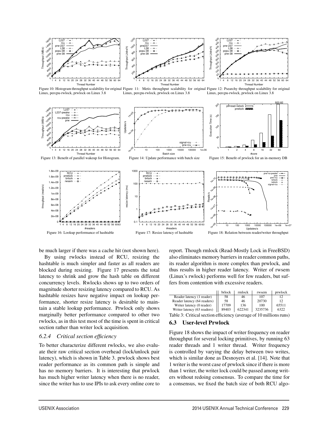

Figure 10: Histogram throughput scalability for original Figure 11: Metis throughput scalability for original Figure 12: Psearchy throughput scalability for original Linux, percpu-rwlock, prwlock on Linux 3.8 Linux, percpu-rwlock, prwlock on Linux 3.8 Linux, percpu-rwlock, prwlock on Linux 3.8



be much larger if there was a cache hit (not shown here).

By using rwlocks instead of RCU, resizing the hashtable is much simpler and faster as all readers are blocked during resizing. Figure 17 presents the total latency to shrink and grow the hash table on different concurrency levels. Rwlocks shows up to two orders of magnitude shorter resizing latency compared to RCU. As hashtable resizes have negative impact on lookup performance, shorter resize latency is desirable to maintain a stable lookup performance. Prwlock only shows marginally better performance compared to other two rwlocks, as in this test most of the time is spent in critical section rather than writer lock acquisition.

#### *6.2.4 Critical section efficiency*

To better characterize different rwlocks, we also evaluate their raw critical section overhead (lock/unlock pair latency), which is shown in Table 3. prwlock shows best reader performance as its common path is simple and has no memory barriers. It is interesting that prwlock has much higher writer latency when there is no reader, since the writer has to use IPIs to ask every online core to report. Though rmlock (Read-Mostly Lock in FreeBSD) also eliminates memory barriers in reader common paths, its reader algorithm is more complex than prwlock, and thus results in higher reader latency. Writer of rwsem (Linux's rwlock) performs well for few readers, but suffers from contention with excessive readers.

|                             | brlock | rmlock | rwsem   | prwlock |
|-----------------------------|--------|--------|---------|---------|
| Reader latency (1 reader)   | 58     | 46     | 107     |         |
| Reader latency (64 readers) | 58     | 46     | 20730   | 12      |
| Writer latency (0 reader)   | 17709  | 136    | 100     | 65511   |
| Writer latency (63 readers) | 89403  | 622341 | 3235736 | 6322    |

Table 3: Critical section efficiency (average of 10 millions runs)

## 6.3 User-level Prwlock

Figure 18 shows the impact of writer frequency on reader throughput for several locking primitives, by running 63 reader threads and 1 writer thread. Writer frequency is controlled by varying the delay between two writes, which is similar done as Desnoyers et al. [14]. Note that 1 writer is the worst case of prwlock since if there is more than 1 writer, the writer lock could be passed among writers without redoing consensus. To compare the time for a consensus, we fixed the batch size of both RCU algo